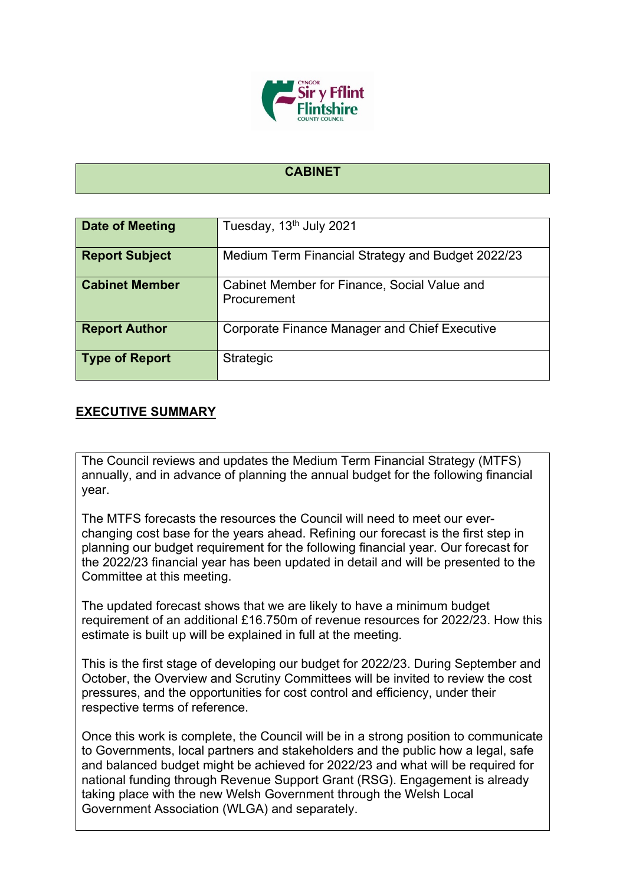

## **CABINET**

| Date of Meeting       | Tuesday, 13 <sup>th</sup> July 2021                         |
|-----------------------|-------------------------------------------------------------|
| <b>Report Subject</b> | Medium Term Financial Strategy and Budget 2022/23           |
| <b>Cabinet Member</b> | Cabinet Member for Finance, Social Value and<br>Procurement |
| <b>Report Author</b>  | Corporate Finance Manager and Chief Executive               |
| <b>Type of Report</b> | Strategic                                                   |

## **EXECUTIVE SUMMARY**

The Council reviews and updates the Medium Term Financial Strategy (MTFS) annually, and in advance of planning the annual budget for the following financial year.

The MTFS forecasts the resources the Council will need to meet our everchanging cost base for the years ahead. Refining our forecast is the first step in planning our budget requirement for the following financial year. Our forecast for the 2022/23 financial year has been updated in detail and will be presented to the Committee at this meeting.

The updated forecast shows that we are likely to have a minimum budget requirement of an additional £16.750m of revenue resources for 2022/23. How this estimate is built up will be explained in full at the meeting.

This is the first stage of developing our budget for 2022/23. During September and October, the Overview and Scrutiny Committees will be invited to review the cost pressures, and the opportunities for cost control and efficiency, under their respective terms of reference.

Once this work is complete, the Council will be in a strong position to communicate to Governments, local partners and stakeholders and the public how a legal, safe and balanced budget might be achieved for 2022/23 and what will be required for national funding through Revenue Support Grant (RSG). Engagement is already taking place with the new Welsh Government through the Welsh Local Government Association (WLGA) and separately.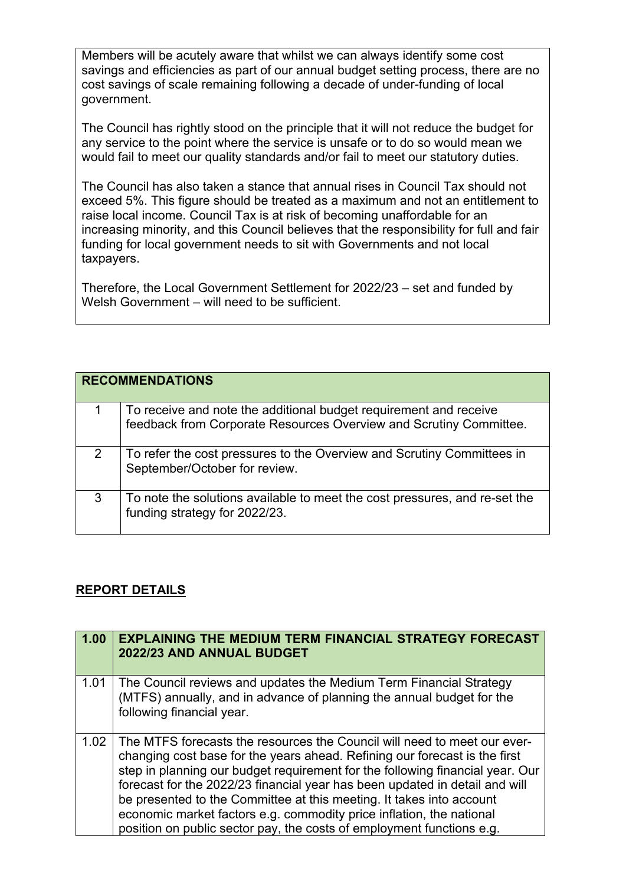Members will be acutely aware that whilst we can always identify some cost savings and efficiencies as part of our annual budget setting process, there are no cost savings of scale remaining following a decade of under-funding of local government.

The Council has rightly stood on the principle that it will not reduce the budget for any service to the point where the service is unsafe or to do so would mean we would fail to meet our quality standards and/or fail to meet our statutory duties.

The Council has also taken a stance that annual rises in Council Tax should not exceed 5%. This figure should be treated as a maximum and not an entitlement to raise local income. Council Tax is at risk of becoming unaffordable for an increasing minority, and this Council believes that the responsibility for full and fair funding for local government needs to sit with Governments and not local taxpayers.

Therefore, the Local Government Settlement for 2022/23 – set and funded by Welsh Government – will need to be sufficient.

|   | <b>RECOMMENDATIONS</b>                                                                                                                  |
|---|-----------------------------------------------------------------------------------------------------------------------------------------|
|   | To receive and note the additional budget requirement and receive<br>feedback from Corporate Resources Overview and Scrutiny Committee. |
| 2 | To refer the cost pressures to the Overview and Scrutiny Committees in<br>September/October for review.                                 |
| 3 | To note the solutions available to meet the cost pressures, and re-set the<br>funding strategy for 2022/23.                             |

## **REPORT DETAILS**

| 1.00 | <b>EXPLAINING THE MEDIUM TERM FINANCIAL STRATEGY FORECAST</b><br>2022/23 AND ANNUAL BUDGET                                                                                                                                                                                                                                                                                                                                                                                                                                                      |
|------|-------------------------------------------------------------------------------------------------------------------------------------------------------------------------------------------------------------------------------------------------------------------------------------------------------------------------------------------------------------------------------------------------------------------------------------------------------------------------------------------------------------------------------------------------|
| 1.01 | The Council reviews and updates the Medium Term Financial Strategy<br>(MTFS) annually, and in advance of planning the annual budget for the<br>following financial year.                                                                                                                                                                                                                                                                                                                                                                        |
| 1.02 | The MTFS forecasts the resources the Council will need to meet our ever-<br>changing cost base for the years ahead. Refining our forecast is the first<br>step in planning our budget requirement for the following financial year. Our<br>forecast for the 2022/23 financial year has been updated in detail and will<br>be presented to the Committee at this meeting. It takes into account<br>economic market factors e.g. commodity price inflation, the national<br>position on public sector pay, the costs of employment functions e.g. |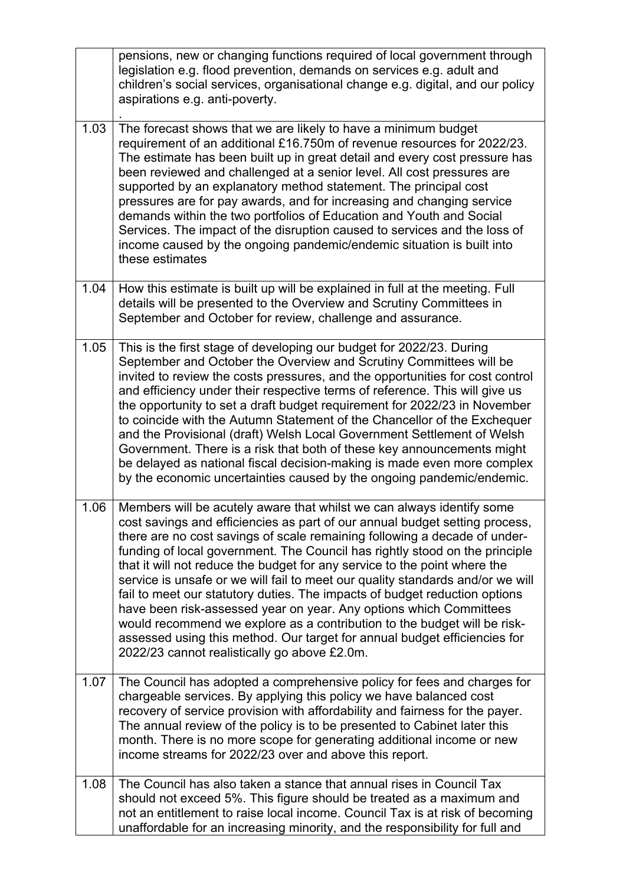|      | pensions, new or changing functions required of local government through<br>legislation e.g. flood prevention, demands on services e.g. adult and<br>children's social services, organisational change e.g. digital, and our policy<br>aspirations e.g. anti-poverty.                                                                                                                                                                                                                                                                                                                                                                                                                                                                                                                                                                        |
|------|----------------------------------------------------------------------------------------------------------------------------------------------------------------------------------------------------------------------------------------------------------------------------------------------------------------------------------------------------------------------------------------------------------------------------------------------------------------------------------------------------------------------------------------------------------------------------------------------------------------------------------------------------------------------------------------------------------------------------------------------------------------------------------------------------------------------------------------------|
| 1.03 | The forecast shows that we are likely to have a minimum budget<br>requirement of an additional £16.750m of revenue resources for 2022/23.<br>The estimate has been built up in great detail and every cost pressure has<br>been reviewed and challenged at a senior level. All cost pressures are<br>supported by an explanatory method statement. The principal cost<br>pressures are for pay awards, and for increasing and changing service<br>demands within the two portfolios of Education and Youth and Social<br>Services. The impact of the disruption caused to services and the loss of<br>income caused by the ongoing pandemic/endemic situation is built into<br>these estimates                                                                                                                                               |
| 1.04 | How this estimate is built up will be explained in full at the meeting. Full<br>details will be presented to the Overview and Scrutiny Committees in<br>September and October for review, challenge and assurance.                                                                                                                                                                                                                                                                                                                                                                                                                                                                                                                                                                                                                           |
| 1.05 | This is the first stage of developing our budget for 2022/23. During<br>September and October the Overview and Scrutiny Committees will be<br>invited to review the costs pressures, and the opportunities for cost control<br>and efficiency under their respective terms of reference. This will give us<br>the opportunity to set a draft budget requirement for 2022/23 in November<br>to coincide with the Autumn Statement of the Chancellor of the Exchequer<br>and the Provisional (draft) Welsh Local Government Settlement of Welsh<br>Government. There is a risk that both of these key announcements might<br>be delayed as national fiscal decision-making is made even more complex<br>by the economic uncertainties caused by the ongoing pandemic/endemic.                                                                  |
| 1.06 | Members will be acutely aware that whilst we can always identify some<br>cost savings and efficiencies as part of our annual budget setting process,<br>there are no cost savings of scale remaining following a decade of under-<br>funding of local government. The Council has rightly stood on the principle<br>that it will not reduce the budget for any service to the point where the<br>service is unsafe or we will fail to meet our quality standards and/or we will<br>fail to meet our statutory duties. The impacts of budget reduction options<br>have been risk-assessed year on year. Any options which Committees<br>would recommend we explore as a contribution to the budget will be risk-<br>assessed using this method. Our target for annual budget efficiencies for<br>2022/23 cannot realistically go above £2.0m. |
| 1.07 | The Council has adopted a comprehensive policy for fees and charges for<br>chargeable services. By applying this policy we have balanced cost<br>recovery of service provision with affordability and fairness for the payer.<br>The annual review of the policy is to be presented to Cabinet later this<br>month. There is no more scope for generating additional income or new<br>income streams for 2022/23 over and above this report.                                                                                                                                                                                                                                                                                                                                                                                                 |
| 1.08 | The Council has also taken a stance that annual rises in Council Tax<br>should not exceed 5%. This figure should be treated as a maximum and<br>not an entitlement to raise local income. Council Tax is at risk of becoming<br>unaffordable for an increasing minority, and the responsibility for full and                                                                                                                                                                                                                                                                                                                                                                                                                                                                                                                                 |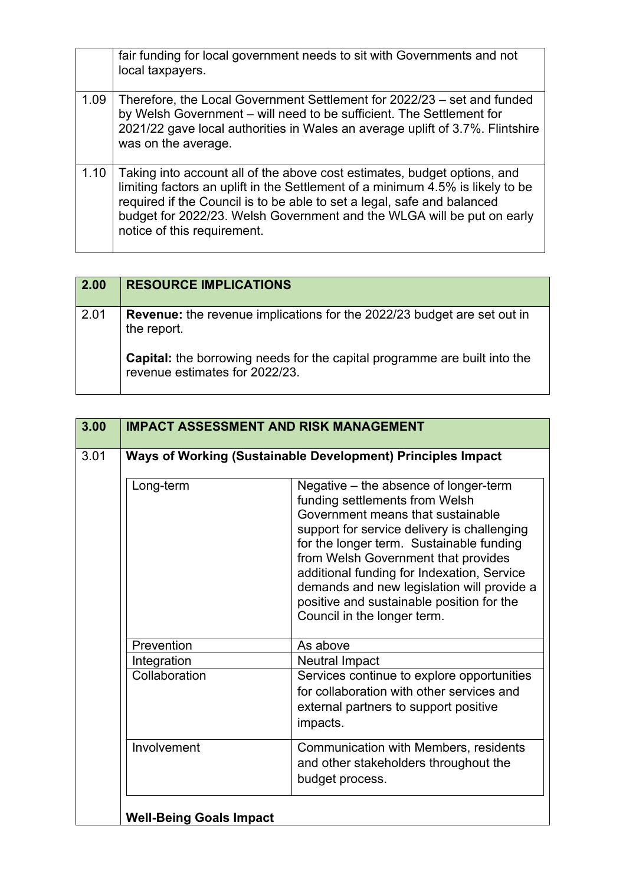|      | fair funding for local government needs to sit with Governments and not<br>local taxpayers.                                                                                                                                                                                                                                                    |
|------|------------------------------------------------------------------------------------------------------------------------------------------------------------------------------------------------------------------------------------------------------------------------------------------------------------------------------------------------|
| 1.09 | Therefore, the Local Government Settlement for 2022/23 – set and funded<br>by Welsh Government – will need to be sufficient. The Settlement for<br>2021/22 gave local authorities in Wales an average uplift of 3.7%. Flintshire<br>was on the average.                                                                                        |
| 1.10 | Taking into account all of the above cost estimates, budget options, and<br>limiting factors an uplift in the Settlement of a minimum 4.5% is likely to be<br>required if the Council is to be able to set a legal, safe and balanced<br>budget for 2022/23. Welsh Government and the WLGA will be put on early<br>notice of this requirement. |

| 2.00 | <b>RESOURCE IMPLICATIONS</b>                                                                                |
|------|-------------------------------------------------------------------------------------------------------------|
| 2.01 | <b>Revenue:</b> the revenue implications for the 2022/23 budget are set out in<br>the report.               |
|      | Capital: the borrowing needs for the capital programme are built into the<br>revenue estimates for 2022/23. |

| 3.00 |               | <b>IMPACT ASSESSMENT AND RISK MANAGEMENT</b>                                                                                                                                                                                                                                                                                                                                                                           |
|------|---------------|------------------------------------------------------------------------------------------------------------------------------------------------------------------------------------------------------------------------------------------------------------------------------------------------------------------------------------------------------------------------------------------------------------------------|
| 3.01 |               | Ways of Working (Sustainable Development) Principles Impact                                                                                                                                                                                                                                                                                                                                                            |
|      | Long-term     | Negative – the absence of longer-term<br>funding settlements from Welsh<br>Government means that sustainable<br>support for service delivery is challenging<br>for the longer term. Sustainable funding<br>from Welsh Government that provides<br>additional funding for Indexation, Service<br>demands and new legislation will provide a<br>positive and sustainable position for the<br>Council in the longer term. |
|      | Prevention    | As above                                                                                                                                                                                                                                                                                                                                                                                                               |
|      | Integration   | <b>Neutral Impact</b>                                                                                                                                                                                                                                                                                                                                                                                                  |
|      | Collaboration | Services continue to explore opportunities<br>for collaboration with other services and<br>external partners to support positive<br>impacts.                                                                                                                                                                                                                                                                           |
|      | Involvement   | Communication with Members, residents<br>and other stakeholders throughout the<br>budget process.                                                                                                                                                                                                                                                                                                                      |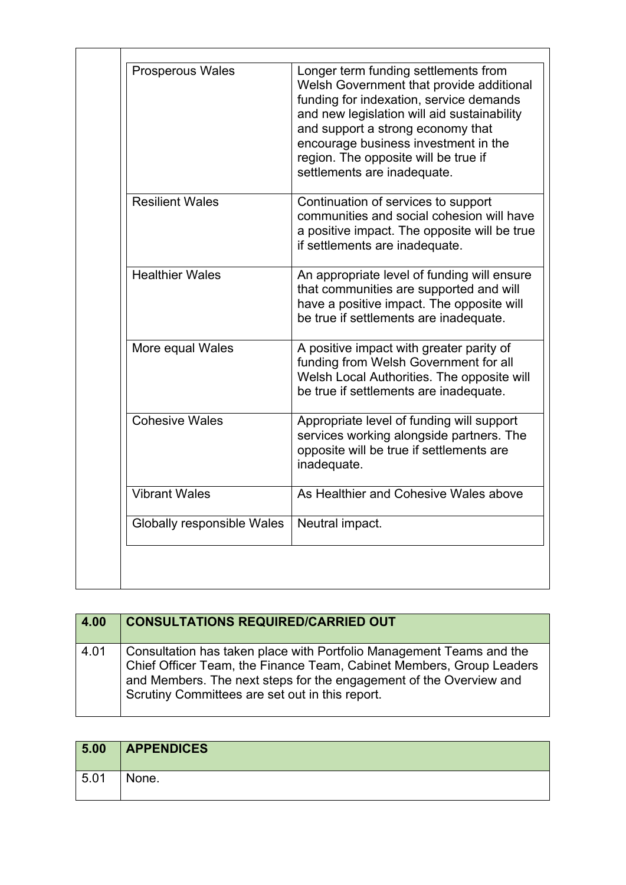| Prosperous Wales           | Longer term funding settlements from<br>Welsh Government that provide additional<br>funding for indexation, service demands<br>and new legislation will aid sustainability<br>and support a strong economy that<br>encourage business investment in the<br>region. The opposite will be true if<br>settlements are inadequate. |
|----------------------------|--------------------------------------------------------------------------------------------------------------------------------------------------------------------------------------------------------------------------------------------------------------------------------------------------------------------------------|
| <b>Resilient Wales</b>     | Continuation of services to support<br>communities and social cohesion will have<br>a positive impact. The opposite will be true<br>if settlements are inadequate.                                                                                                                                                             |
| <b>Healthier Wales</b>     | An appropriate level of funding will ensure<br>that communities are supported and will<br>have a positive impact. The opposite will<br>be true if settlements are inadequate.                                                                                                                                                  |
| More equal Wales           | A positive impact with greater parity of<br>funding from Welsh Government for all<br>Welsh Local Authorities. The opposite will<br>be true if settlements are inadequate.                                                                                                                                                      |
| <b>Cohesive Wales</b>      | Appropriate level of funding will support<br>services working alongside partners. The<br>opposite will be true if settlements are<br>inadequate.                                                                                                                                                                               |
| <b>Vibrant Wales</b>       | As Healthier and Cohesive Wales above                                                                                                                                                                                                                                                                                          |
| Globally responsible Wales | Neutral impact.                                                                                                                                                                                                                                                                                                                |

| 4.00 | <b>CONSULTATIONS REQUIRED/CARRIED OUT</b>                                                                                                                                                                                                                             |
|------|-----------------------------------------------------------------------------------------------------------------------------------------------------------------------------------------------------------------------------------------------------------------------|
| 4.01 | Consultation has taken place with Portfolio Management Teams and the<br>Chief Officer Team, the Finance Team, Cabinet Members, Group Leaders<br>and Members. The next steps for the engagement of the Overview and<br>Scrutiny Committees are set out in this report. |

| 5.00 | <b>APPENDICES</b> |
|------|-------------------|
| 5.01 | None.             |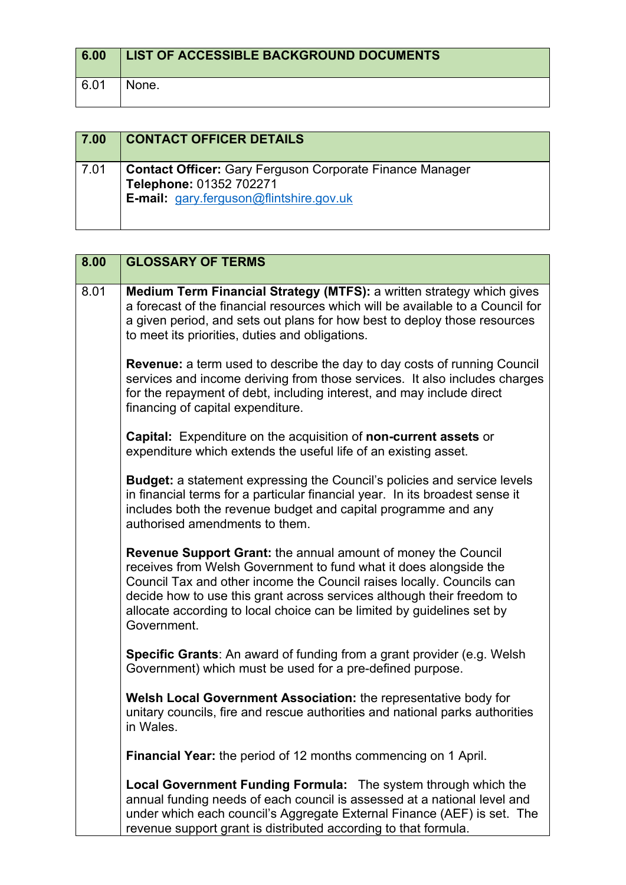| 6.00 | LIST OF ACCESSIBLE BACKGROUND DOCUMENTS |
|------|-----------------------------------------|
| 6.01 | None.                                   |

| 7.00 | <b>CONTACT OFFICER DETAILS</b>                                                                                                               |
|------|----------------------------------------------------------------------------------------------------------------------------------------------|
| 7.01 | <b>Contact Officer: Gary Ferguson Corporate Finance Manager</b><br>Telephone: 01352 702271<br><b>E-mail:</b> gary.ferguson@flintshire.gov.uk |

| 8.00 | <b>GLOSSARY OF TERMS</b>                                                                                                                                                                                                                                                                                                                                                              |
|------|---------------------------------------------------------------------------------------------------------------------------------------------------------------------------------------------------------------------------------------------------------------------------------------------------------------------------------------------------------------------------------------|
| 8.01 | Medium Term Financial Strategy (MTFS): a written strategy which gives<br>a forecast of the financial resources which will be available to a Council for<br>a given period, and sets out plans for how best to deploy those resources<br>to meet its priorities, duties and obligations.                                                                                               |
|      | Revenue: a term used to describe the day to day costs of running Council<br>services and income deriving from those services. It also includes charges<br>for the repayment of debt, including interest, and may include direct<br>financing of capital expenditure.                                                                                                                  |
|      | <b>Capital:</b> Expenditure on the acquisition of <b>non-current assets</b> or<br>expenditure which extends the useful life of an existing asset.                                                                                                                                                                                                                                     |
|      | <b>Budget:</b> a statement expressing the Council's policies and service levels<br>in financial terms for a particular financial year. In its broadest sense it<br>includes both the revenue budget and capital programme and any<br>authorised amendments to them.                                                                                                                   |
|      | <b>Revenue Support Grant:</b> the annual amount of money the Council<br>receives from Welsh Government to fund what it does alongside the<br>Council Tax and other income the Council raises locally. Councils can<br>decide how to use this grant across services although their freedom to<br>allocate according to local choice can be limited by guidelines set by<br>Government. |
|      | <b>Specific Grants:</b> An award of funding from a grant provider (e.g. Welsh<br>Government) which must be used for a pre-defined purpose.                                                                                                                                                                                                                                            |
|      | Welsh Local Government Association: the representative body for<br>unitary councils, fire and rescue authorities and national parks authorities<br>in Wales.                                                                                                                                                                                                                          |
|      | <b>Financial Year:</b> the period of 12 months commencing on 1 April.                                                                                                                                                                                                                                                                                                                 |
|      | <b>Local Government Funding Formula:</b> The system through which the<br>annual funding needs of each council is assessed at a national level and<br>under which each council's Aggregate External Finance (AEF) is set. The<br>revenue support grant is distributed according to that formula.                                                                                       |